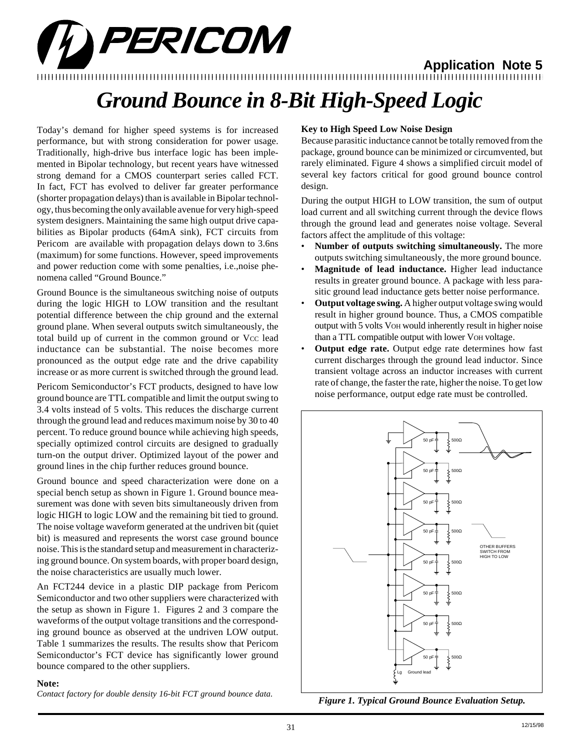# PERICOM

**Application Note 5**

### 12345678901234567890123456789012123456789012345678901234567890121234567890123456789012345678901212345678901234567890123456789012123456789012 12345678901234567890123456789012123456789012345678901234567890121234567890123456789012345678901212345678901234567890123456789012123456789012

## *Ground Bounce in 8-Bit High-Speed Logic*

Today's demand for higher speed systems is for increased performance, but with strong consideration for power usage. Traditionally, high-drive bus interface logic has been implemented in Bipolar technology, but recent years have witnessed strong demand for a CMOS counterpart series called FCT. In fact, FCT has evolved to deliver far greater performance (shorter propagation delays) than is available in Bipolar technology, thus becoming the only available avenue for very high-speed system designers. Maintaining the same high output drive capabilities as Bipolar products (64mA sink), FCT circuits from Pericom are available with propagation delays down to 3.6ns (maximum) for some functions. However, speed improvements and power reduction come with some penalties, i.e.,noise phenomena called "Ground Bounce."

Ground Bounce is the simultaneous switching noise of outputs during the logic HIGH to LOW transition and the resultant potential difference between the chip ground and the external ground plane. When several outputs switch simultaneously, the total build up of current in the common ground or Vcc lead inductance can be substantial. The noise becomes more pronounced as the output edge rate and the drive capability increase or as more current is switched through the ground lead.

Pericom Semiconductor's FCT products, designed to have low ground bounce are TTL compatible and limit the output swing to 3.4 volts instead of 5 volts. This reduces the discharge current through the ground lead and reduces maximum noise by 30 to 40 percent. To reduce ground bounce while achieving high speeds, specially optimized control circuits are designed to gradually turn-on the output driver. Optimized layout of the power and ground lines in the chip further reduces ground bounce.

Ground bounce and speed characterization were done on a special bench setup as shown in Figure 1. Ground bounce measurement was done with seven bits simultaneously driven from logic HIGH to logic LOW and the remaining bit tied to ground. The noise voltage waveform generated at the undriven bit (quiet bit) is measured and represents the worst case ground bounce noise. This is the standard setup and measurement in characterizing ground bounce. On system boards, with proper board design, the noise characteristics are usually much lower.

An FCT244 device in a plastic DIP package from Pericom Semiconductor and two other suppliers were characterized with the setup as shown in Figure 1. Figures 2 and 3 compare the waveforms of the output voltage transitions and the corresponding ground bounce as observed at the undriven LOW output. Table 1 summarizes the results. The results show that Pericom Semiconductor's FCT device has significantly lower ground bounce compared to the other suppliers.

#### **Note:**

*Contact factory for double density 16-bit FCT ground bounce data.*

#### **Key to High Speed Low Noise Design**

Because parasitic inductance cannot be totally removed from the package, ground bounce can be minimized or circumvented, but rarely eliminated. Figure 4 shows a simplified circuit model of several key factors critical for good ground bounce control design.

During the output HIGH to LOW transition, the sum of output load current and all switching current through the device flows through the ground lead and generates noise voltage. Several factors affect the amplitude of this voltage:

- **Number of outputs switching simultaneously.** The more outputs switching simultaneously, the more ground bounce.
- **Magnitude of lead inductance.** Higher lead inductance results in greater ground bounce. A package with less parasitic ground lead inductance gets better noise performance.
- **Output voltage swing.** A higher output voltage swing would result in higher ground bounce. Thus, a CMOS compatible output with 5 volts VOH would inherently result in higher noise than a TTL compatible output with lower VOH voltage.
- **Output edge rate.** Output edge rate determines how fast current discharges through the ground lead inductor. Since transient voltage across an inductor increases with current rate of change, the faster the rate, higher the noise. To get low noise performance, output edge rate must be controlled.



*Figure 1. Typical Ground Bounce Evaluation Setup.*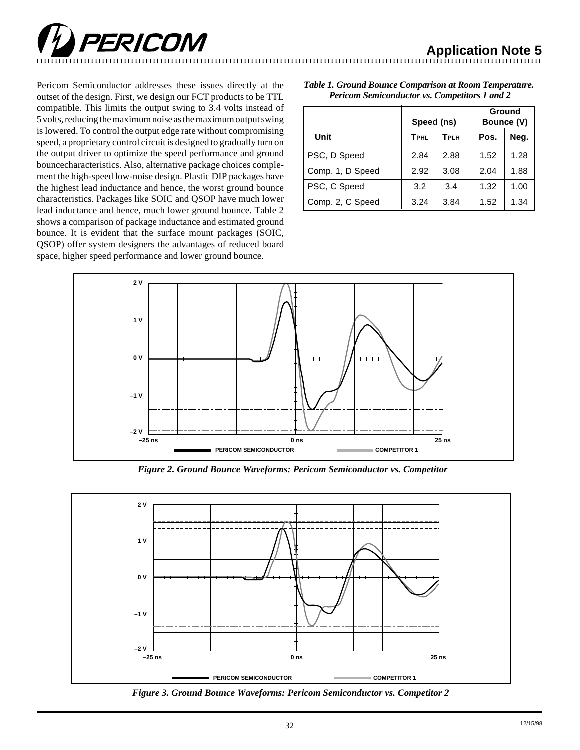

Pericom Semiconductor addresses these issues directly at the outset of the design. First, we design our FCT products to be TTL compatible. This limits the output swing to 3.4 volts instead of 5 volts, reducing the maximum noise as the maximum output swing is lowered. To control the output edge rate without compromising speed, a proprietary control circuit is designed to gradually turn on the output driver to optimize the speed performance and ground bouncecharacteristics. Also, alternative package choices complement the high-speed low-noise design. Plastic DIP packages have the highest lead inductance and hence, the worst ground bounce characteristics. Packages like SOIC and QSOP have much lower lead inductance and hence, much lower ground bounce. Table 2 shows a comparison of package inductance and estimated ground bounce. It is evident that the surface mount packages (SOIC, QSOP) offer system designers the advantages of reduced board space, higher speed performance and lower ground bounce.

|                  | Speed (ns)  |      | Ground<br>Bounce (V) |      |
|------------------|-------------|------|----------------------|------|
| Unit             | <b>TPHL</b> | TPLH | Pos.                 | Neg. |
| PSC, D Speed     | 2.84        | 2.88 | 1.52                 | 1.28 |
| Comp. 1, D Speed | 2.92        | 3.08 | 2.04                 | 1.88 |
| PSC, C Speed     | 3.2         | 3.4  | 1.32                 | 1.00 |
| Comp. 2, C Speed | 3.24        | 3.84 | 1.52                 | 1.34 |





*Figure 2. Ground Bounce Waveforms: Pericom Semiconductor vs. Competitor*



*Figure 3. Ground Bounce Waveforms: Pericom Semiconductor vs. Competitor 2*